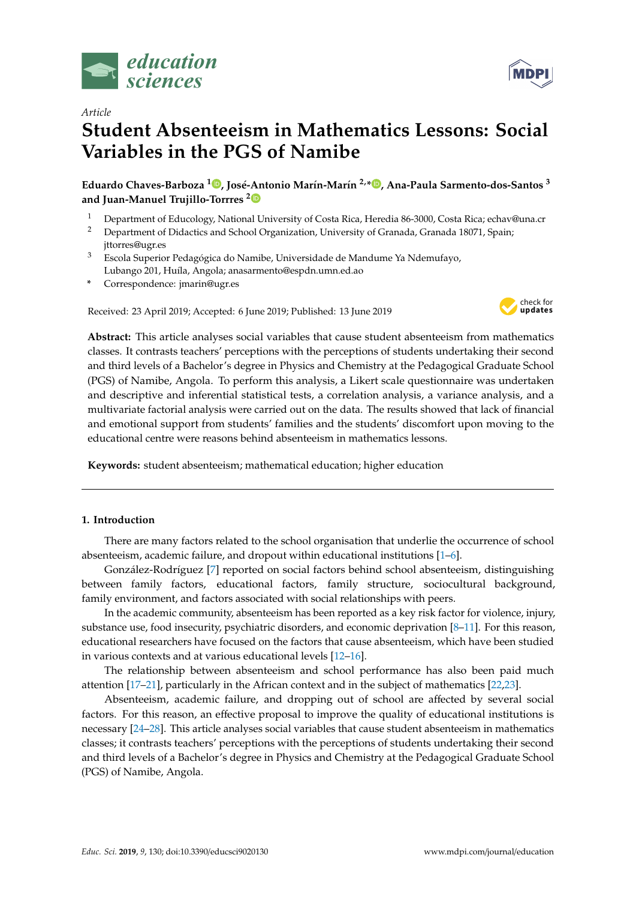

*Article*

# **Student Absenteeism in Mathematics Lessons: Social Variables in the PGS of Namibe**

**Eduardo Chaves-Barboza <sup>1</sup> [,](https://orcid.org/0000-0003-2472-1016) José-Antonio Marín-Marín 2,\* [,](https://orcid.org/0000-0001-8623-4796) Ana-Paula Sarmento-dos-Santos <sup>3</sup> and Juan-Manuel Trujillo-Torrres [2](https://orcid.org/0000-0002-2761-3523)**

- <sup>1</sup> Department of Educology, National University of Costa Rica, Heredia 86-3000, Costa Rica; echav@una.cr<br><sup>2</sup> Department of Didactics and School Organization University of Cranada Cranada 18071, Spain:
- <sup>2</sup> Department of Didactics and School Organization, University of Granada, Granada 18071, Spain; jttorres@ugr.es
- <sup>3</sup> Escola Superior Pedagógica do Namibe, Universidade de Mandume Ya Ndemufayo, Lubango 201, Huíla, Angola; anasarmento@espdn.umn.ed.ao
- **\*** Correspondence: jmarin@ugr.es

Received: 23 April 2019; Accepted: 6 June 2019; Published: 13 June 2019



**MDP** 

**Abstract:** This article analyses social variables that cause student absenteeism from mathematics classes. It contrasts teachers' perceptions with the perceptions of students undertaking their second and third levels of a Bachelor's degree in Physics and Chemistry at the Pedagogical Graduate School (PGS) of Namibe, Angola. To perform this analysis, a Likert scale questionnaire was undertaken and descriptive and inferential statistical tests, a correlation analysis, a variance analysis, and a multivariate factorial analysis were carried out on the data. The results showed that lack of financial and emotional support from students' families and the students' discomfort upon moving to the educational centre were reasons behind absenteeism in mathematics lessons.

**Keywords:** student absenteeism; mathematical education; higher education

## **1. Introduction**

There are many factors related to the school organisation that underlie the occurrence of school absenteeism, academic failure, and dropout within educational institutions [\[1–](#page-7-0)[6\]](#page-7-1).

González-Rodríguez [\[7\]](#page-7-2) reported on social factors behind school absenteeism, distinguishing between family factors, educational factors, family structure, sociocultural background, family environment, and factors associated with social relationships with peers.

In the academic community, absenteeism has been reported as a key risk factor for violence, injury, substance use, food insecurity, psychiatric disorders, and economic deprivation [\[8–](#page-7-3)[11\]](#page-7-4). For this reason, educational researchers have focused on the factors that cause absenteeism, which have been studied in various contexts and at various educational levels [\[12–](#page-7-5)[16\]](#page-7-6).

The relationship between absenteeism and school performance has also been paid much attention [\[17–](#page-7-7)[21\]](#page-7-8), particularly in the African context and in the subject of mathematics [\[22](#page-7-9)[,23\]](#page-7-10).

Absenteeism, academic failure, and dropping out of school are affected by several social factors. For this reason, an effective proposal to improve the quality of educational institutions is necessary [\[24–](#page-7-11)[28\]](#page-8-0). This article analyses social variables that cause student absenteeism in mathematics classes; it contrasts teachers' perceptions with the perceptions of students undertaking their second and third levels of a Bachelor's degree in Physics and Chemistry at the Pedagogical Graduate School (PGS) of Namibe, Angola.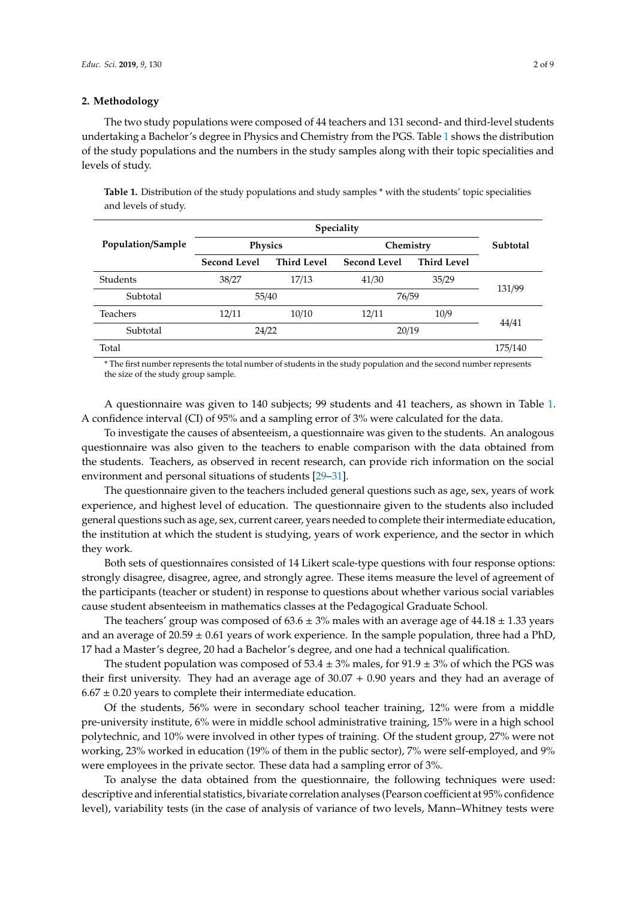#### **2. Methodology**

The two study populations were composed of 44 teachers and 131 second- and third-level students undertaking a Bachelor's degree in Physics and Chemistry from the PGS. Table [1](#page-1-0) shows the distribution of the study populations and the numbers in the study samples along with their topic specialities and levels of study.

<span id="page-1-0"></span>**Table 1.** Distribution of the study populations and study samples \* with the students' topic specialities and levels of study.

| Population/Sample | <b>Physics</b>      |                    | Chemistry           | Subtotal           |         |
|-------------------|---------------------|--------------------|---------------------|--------------------|---------|
|                   | <b>Second Level</b> | <b>Third Level</b> | <b>Second Level</b> | <b>Third Level</b> |         |
| Students          | 38/27               | 17/13              | 41/30               | 35/29              |         |
| Subtotal          | 55/40               |                    | 76/59               | 131/99             |         |
| Teachers          | 12/11               |                    | 12/11               | 10/9               |         |
| Subtotal          | 24/22               |                    | 20/19               |                    | 44/41   |
| Total             |                     |                    |                     |                    | 175/140 |

\* The first number represents the total number of students in the study population and the second number represents the size of the study group sample.

A questionnaire was given to 140 subjects; 99 students and 41 teachers, as shown in Table [1.](#page-1-0) A confidence interval (CI) of 95% and a sampling error of 3% were calculated for the data.

To investigate the causes of absenteeism, a questionnaire was given to the students. An analogous questionnaire was also given to the teachers to enable comparison with the data obtained from the students. Teachers, as observed in recent research, can provide rich information on the social environment and personal situations of students [\[29–](#page-8-1)[31\]](#page-8-2).

The questionnaire given to the teachers included general questions such as age, sex, years of work experience, and highest level of education. The questionnaire given to the students also included general questions such as age, sex, current career, years needed to complete their intermediate education, the institution at which the student is studying, years of work experience, and the sector in which they work.

Both sets of questionnaires consisted of 14 Likert scale-type questions with four response options: strongly disagree, disagree, agree, and strongly agree. These items measure the level of agreement of the participants (teacher or student) in response to questions about whether various social variables cause student absenteeism in mathematics classes at the Pedagogical Graduate School.

The teachers' group was composed of  $63.6 \pm 3\%$  males with an average age of  $44.18 \pm 1.33$  years and an average of  $20.59 \pm 0.61$  years of work experience. In the sample population, three had a PhD, 17 had a Master's degree, 20 had a Bachelor's degree, and one had a technical qualification.

The student population was composed of  $53.4 \pm 3\%$  males, for  $91.9 \pm 3\%$  of which the PGS was their first university. They had an average age of 30.07 + 0.90 years and they had an average of  $6.67 \pm 0.20$  years to complete their intermediate education.

Of the students, 56% were in secondary school teacher training, 12% were from a middle pre-university institute, 6% were in middle school administrative training, 15% were in a high school polytechnic, and 10% were involved in other types of training. Of the student group, 27% were not working, 23% worked in education (19% of them in the public sector), 7% were self-employed, and 9% were employees in the private sector. These data had a sampling error of 3%.

To analyse the data obtained from the questionnaire, the following techniques were used: descriptive and inferential statistics, bivariate correlation analyses (Pearson coefficient at 95% confidence level), variability tests (in the case of analysis of variance of two levels, Mann–Whitney tests were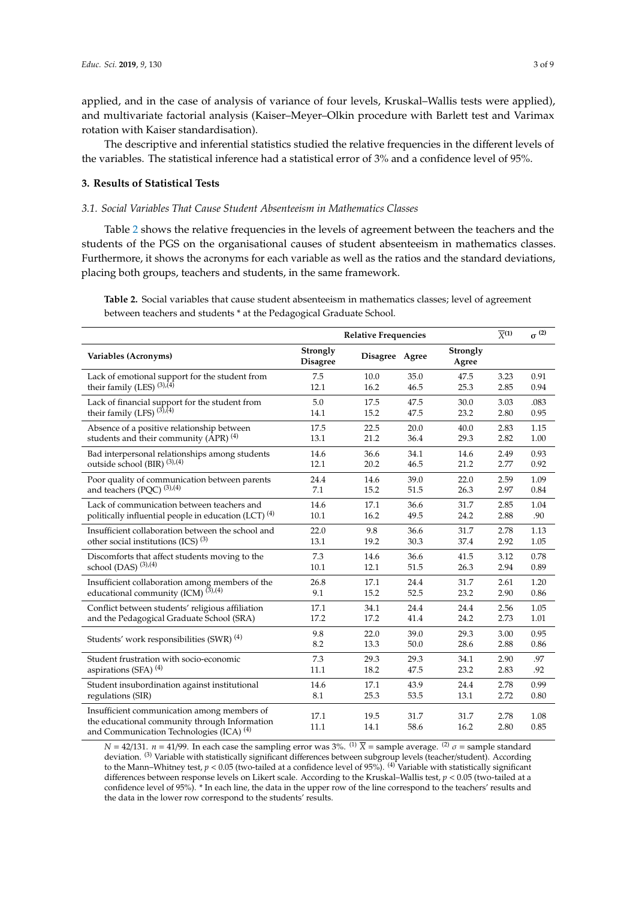applied, and in the case of analysis of variance of four levels, Kruskal–Wallis tests were applied), and multivariate factorial analysis (Kaiser–Meyer–Olkin procedure with Barlett test and Varimax rotation with Kaiser standardisation).

The descriptive and inferential statistics studied the relative frequencies in the different levels of the variables. The statistical inference had a statistical error of 3% and a confidence level of 95%.

### **3. Results of Statistical Tests**

## *3.1. Social Variables That Cause Student Absenteeism in Mathematics Classes*

Table [2](#page-2-0) shows the relative frequencies in the levels of agreement between the teachers and the students of the PGS on the organisational causes of student absenteeism in mathematics classes. Furthermore, it shows the acronyms for each variable as well as the ratios and the standard deviations, placing both groups, teachers and students, in the same framework.

<span id="page-2-0"></span>**Table 2.** Social variables that cause student absenteeism in mathematics classes; level of agreement between teachers and students \* at the Pedagogical Graduate School.

|                                                                                                                                            | <b>Relative Frequencies</b> | $\overline{\chi}(1)$ | $\sigma$ <sup>(2)</sup> |                   |              |              |
|--------------------------------------------------------------------------------------------------------------------------------------------|-----------------------------|----------------------|-------------------------|-------------------|--------------|--------------|
| Variables (Acronyms)                                                                                                                       | Strongly<br><b>Disagree</b> | Disagree Agree       |                         | Strongly<br>Agree |              |              |
| Lack of emotional support for the student from                                                                                             | 7.5                         | 10.0                 | 35.0                    | 47.5              | 3.23         | 0.91         |
| their family (LES) $(3)$ , $(4)$                                                                                                           | 12.1                        | 16.2                 | 46.5                    | 25.3              | 2.85         | 0.94         |
| Lack of financial support for the student from                                                                                             | 5.0                         | 17.5                 | 47.5                    | 30.0              | 3.03         | .083         |
| their family (LFS) $(3)$ , $(4)$                                                                                                           | 14.1                        | 15.2                 | 47.5                    | 23.2              | 2.80         | 0.95         |
| Absence of a positive relationship between                                                                                                 | 17.5                        | 22.5                 | 20.0                    | 40.0              | 2.83         | 1.15         |
| students and their community (APR) <sup>(4)</sup>                                                                                          | 13.1                        | 21.2                 | 36.4                    | 29.3              | 2.82         | 1.00         |
| Bad interpersonal relationships among students                                                                                             | 14.6                        | 36.6                 | 34.1                    | 14.6              | 2.49         | 0.93         |
| outside school (BIR) <sup>(3),(4)</sup>                                                                                                    | 12.1                        | 20.2                 | 46.5                    | 21.2              | 2.77         | 0.92         |
| Poor quality of communication between parents                                                                                              | 24.4                        | 14.6                 | 39.0                    | 22.0              | 2.59         | 1.09         |
| and teachers (PQC) $(3)$ , (4)                                                                                                             | 7.1                         | 15.2                 | 51.5                    | 26.3              | 2.97         | 0.84         |
| Lack of communication between teachers and                                                                                                 | 14.6                        | 17.1                 | 36.6                    | 31.7              | 2.85         | 1.04         |
| politically influential people in education (LCT) <sup>(4)</sup>                                                                           | 10.1                        | 16.2                 | 49.5                    | 24.2              | 2.88         | .90          |
| Insufficient collaboration between the school and                                                                                          | 22.0                        | 9.8                  | 36.6                    | 31.7              | 2.78         | 1.13         |
| other social institutions (ICS) <sup>(3)</sup>                                                                                             | 13.1                        | 19.2                 | 30.3                    | 37.4              | 2.92         | 1.05         |
| Discomforts that affect students moving to the                                                                                             | 7.3                         | 14.6                 | 36.6                    | 41.5              | 3.12         | 0.78         |
| school (DAS) $(3)$ , $(4)$                                                                                                                 | 10.1                        | 12.1                 | 51.5                    | 26.3              | 2.94         | 0.89         |
| Insufficient collaboration among members of the                                                                                            | 26.8                        | 17.1                 | 24.4                    | 31.7              | 2.61         | 1.20         |
| educational community (ICM) $(3)$ , (4)                                                                                                    | 9.1                         | 15.2                 | 52.5                    | 23.2              | 2.90         | 0.86         |
| Conflict between students' religious affiliation                                                                                           | 17.1                        | 34.1                 | 24.4                    | 24.4              | 2.56         | 1.05         |
| and the Pedagogical Graduate School (SRA)                                                                                                  | 17.2                        | 17.2                 | 41.4                    | 24.2              | 2.73         | 1.01         |
| Students' work responsibilities (SWR) <sup>(4)</sup>                                                                                       | 9.8                         | 22.0                 | 39.0                    | 29.3              | 3.00         | 0.95         |
|                                                                                                                                            | 8.2                         | 13.3                 | 50.0                    | 28.6              | 2.88         | 0.86         |
| Student frustration with socio-economic                                                                                                    | 7.3                         | 29.3                 | 29.3                    | 34.1              | 2.90         | .97          |
| aspirations (SFA) $(4)$                                                                                                                    | 11.1                        | 18.2                 | 47.5                    | 23.2              | 2.83         | .92          |
| Student insubordination against institutional                                                                                              | 14.6                        | 17.1                 | 43.9                    | 24.4              | 2.78         | 0.99         |
| regulations (SIR)                                                                                                                          | 8.1                         | 25.3                 | 53.5                    | 13.1              | 2.72         | 0.80         |
| Insufficient communication among members of<br>the educational community through Information<br>and Communication Technologies (ICA) $(4)$ | 17.1<br>11.1                | 19.5<br>14.1         | 31.7<br>58.6            | 31.7<br>16.2      | 2.78<br>2.80 | 1.08<br>0.85 |

*N* = 42/131. *n* = 41/99. In each case the sampling error was 3%. <sup>(1)</sup>  $\overline{X}$  = sample average. <sup>(2)</sup>  $\sigma$  = sample standard deviation. <sup>(3)</sup> Variable with statistically significant differences between subgroup levels (teacher/student). According to the Mann–Whitney test,  $p < 0.05$  (two-tailed at a confidence level of 95%). <sup>(4)</sup> Variable with statistically significant differences between response levels on Likert scale. According to the Kruskal–Wallis test, *p* < 0.05 (two-tailed at a confidence level of 95%). \* In each line, the data in the upper row of the line correspond to the teachers' results and the data in the lower row correspond to the students' results.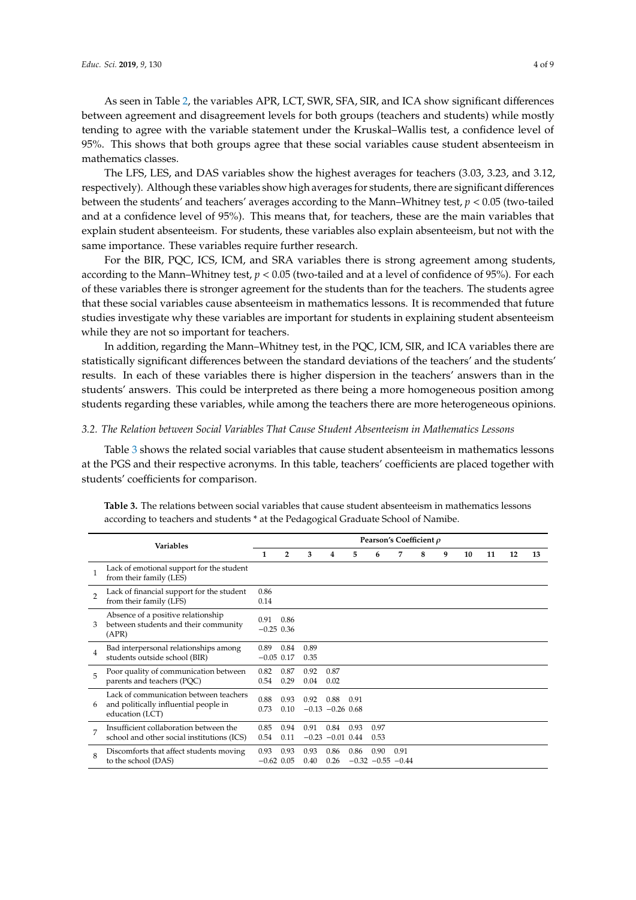As seen in Table [2,](#page-2-0) the variables APR, LCT, SWR, SFA, SIR, and ICA show significant differences between agreement and disagreement levels for both groups (teachers and students) while mostly tending to agree with the variable statement under the Kruskal–Wallis test, a confidence level of 95%. This shows that both groups agree that these social variables cause student absenteeism in mathematics classes.

The LFS, LES, and DAS variables show the highest averages for teachers (3.03, 3.23, and 3.12, respectively). Although these variables show high averages for students, there are significant differences between the students' and teachers' averages according to the Mann–Whitney test,  $p < 0.05$  (two-tailed and at a confidence level of 95%). This means that, for teachers, these are the main variables that explain student absenteeism. For students, these variables also explain absenteeism, but not with the same importance. These variables require further research.

For the BIR, PQC, ICS, ICM, and SRA variables there is strong agreement among students, according to the Mann–Whitney test,  $p < 0.05$  (two-tailed and at a level of confidence of 95%). For each of these variables there is stronger agreement for the students than for the teachers. The students agree that these social variables cause absenteeism in mathematics lessons. It is recommended that future studies investigate why these variables are important for students in explaining student absenteeism while they are not so important for teachers.

In addition, regarding the Mann–Whitney test, in the PQC, ICM, SIR, and ICA variables there are statistically significant differences between the standard deviations of the teachers' and the students' results. In each of these variables there is higher dispersion in the teachers' answers than in the students' answers. This could be interpreted as there being a more homogeneous position among students regarding these variables, while among the teachers there are more heterogeneous opinions.

#### *3.2. The Relation between Social Variables That Cause Student Absenteeism in Mathematics Lessons*

Table [3](#page-4-0) shows the related social variables that cause student absenteeism in mathematics lessons at the PGS and their respective acronyms. In this table, teachers' coefficients are placed together with students' coefficients for comparison.

| <b>Variables</b> |                                                                                                    | Pearson's Coefficient $\rho$ |              |              |                             |      |              |                                 |   |   |    |    |    |    |
|------------------|----------------------------------------------------------------------------------------------------|------------------------------|--------------|--------------|-----------------------------|------|--------------|---------------------------------|---|---|----|----|----|----|
|                  |                                                                                                    | 1                            | 2            | 3            | 4                           | 5    | 6            | 7                               | 8 | 9 | 10 | 11 | 12 | 13 |
|                  | Lack of emotional support for the student<br>from their family (LES)                               |                              |              |              |                             |      |              |                                 |   |   |    |    |    |    |
| 2                | Lack of financial support for the student<br>from their family (LFS)                               | 0.86<br>0.14                 |              |              |                             |      |              |                                 |   |   |    |    |    |    |
| 3                | Absence of a positive relationship<br>between students and their community<br>(APR)                | 0.91<br>$-0.25$ 0.36         | 0.86         |              |                             |      |              |                                 |   |   |    |    |    |    |
| 4                | Bad interpersonal relationships among<br>students outside school (BIR)                             | 0.89<br>$-0.05$ 0.17         | 0.84         | 0.89<br>0.35 |                             |      |              |                                 |   |   |    |    |    |    |
| 5                | Poor quality of communication between<br>parents and teachers (PQC)                                | 0.82<br>0.54                 | 0.87<br>0.29 | 0.92<br>0.04 | 0.87<br>0.02                |      |              |                                 |   |   |    |    |    |    |
| 6                | Lack of communication between teachers<br>and politically influential people in<br>education (LCT) | 0.88<br>0.73                 | 0.93<br>0.10 | 0.92         | 0.88<br>$-0.13 - 0.26$ 0.68 | 0.91 |              |                                 |   |   |    |    |    |    |
| 7                | Insufficient collaboration between the<br>school and other social institutions (ICS)               | 0.85<br>0.54                 | 0.94<br>0.11 | 0.91         | 0.84<br>$-0.23 -0.01$ 0.44  | 0.93 | 0.97<br>0.53 |                                 |   |   |    |    |    |    |
| 8                | Discomforts that affect students moving<br>to the school (DAS)                                     | 0.93<br>$-0.62$ 0.05         | 0.93         | 0.93<br>0.40 | 0.86<br>0.26                | 0.86 | 0.90         | 0.91<br>$-0.32$ $-0.55$ $-0.44$ |   |   |    |    |    |    |

**Table 3.** The relations between social variables that cause student absenteeism in mathematics lessons according to teachers and students \* at the Pedagogical Graduate School of Namibe.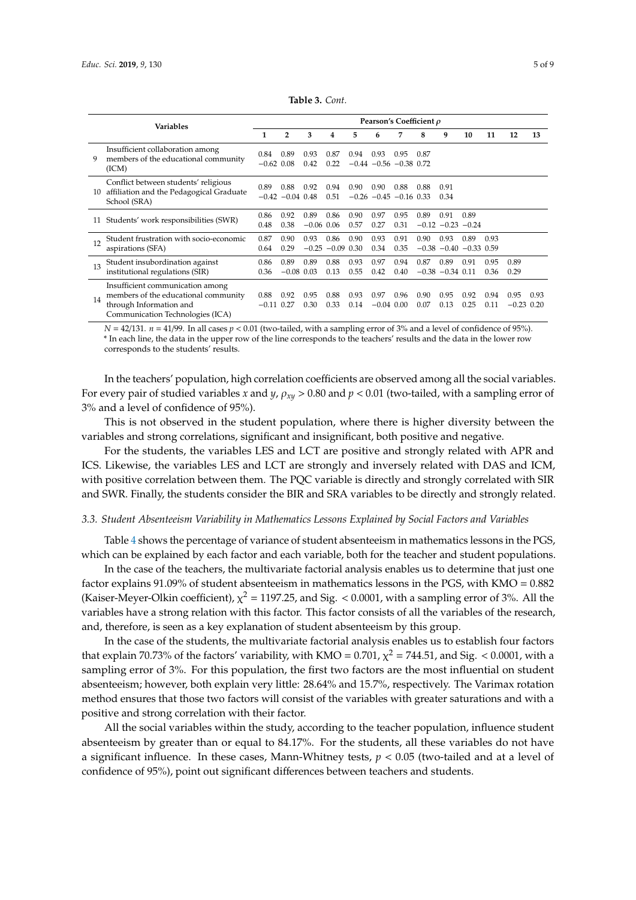<span id="page-4-0"></span>

| <b>Variables</b> |                                                                                                                                         | Pearson's Coefficient $\rho$ |                             |                      |                      |                 |                                      |                             |              |                                 |                                      |              |                      |      |
|------------------|-----------------------------------------------------------------------------------------------------------------------------------------|------------------------------|-----------------------------|----------------------|----------------------|-----------------|--------------------------------------|-----------------------------|--------------|---------------------------------|--------------------------------------|--------------|----------------------|------|
|                  |                                                                                                                                         | 1                            | $\overline{2}$              | 3                    | 4                    | 5               | 6                                    | 7                           | 8            | 9                               | 10                                   | 11           | 12                   | 13   |
| 9                | Insufficient collaboration among<br>members of the educational community<br>(ICM)                                                       | 0.84<br>$-0.62$ 0.08         | 0.89                        | 0.93<br>0.42         | 0.87<br>0.22         | 0.94<br>$-0.44$ | 0.93                                 | 0.95<br>$-0.56 - 0.38 0.72$ | 0.87         |                                 |                                      |              |                      |      |
| 10               | Conflict between students' religious<br>affiliation and the Pedagogical Graduate<br>School (SRA)                                        | 0.89                         | 0.88<br>$-0.42 - 0.04$ 0.48 | 0.92                 | 0.94<br>0.51         | 0.90            | 0.90<br>$-0.26$ $-0.45$ $-0.16$ 0.33 | 0.88                        | 0.88         | 0.91<br>0.34                    |                                      |              |                      |      |
|                  | 11 Students' work responsibilities (SWR)                                                                                                | 0.86<br>0.48                 | 0.92<br>0.38                | 0.89<br>$-0.06$ 0.06 | 0.86                 | 0.90<br>0.57    | 0.97<br>0.27                         | 0.95<br>0.31                | 0.89         | 0.91<br>$-0.12$ $-0.23$ $-0.24$ | 0.89                                 |              |                      |      |
| 12               | Student frustration with socio-economic<br>aspirations (SFA)                                                                            | 0.87<br>0.64                 | 0.90<br>0.29                | 0.93<br>$-0.25$      | 0.86<br>$-0.09$ 0.30 | 0.90            | 0.93<br>0.34                         | 0.91<br>0.35                | 0.90         | 0.93                            | 0.89<br>$-0.38$ $-0.40$ $-0.33$ 0.59 | 0.93         |                      |      |
| 13               | Student insubordination against<br>institutional regulations (SIR)                                                                      | 0.86<br>0.36                 | 0.89<br>$-0.08$ 0.03        | 0.89                 | 0.88<br>0.13         | 0.93<br>0.55    | 0.97<br>0.42                         | 0.94<br>0.40                | 0.87         | 0.89<br>$-0.38$ $-0.34$ 0.11    | 0.91                                 | 0.95<br>0.36 | 0.89<br>0.29         |      |
| 14               | Insufficient communication among<br>members of the educational community<br>through Information and<br>Communication Technologies (ICA) | 0.88<br>$-0.11$ 0.27         | 0.92                        | 0.95<br>0.30         | 0.88<br>0.33         | 0.93<br>0.14    | 0.97<br>$-0.04$ 0.00                 | 0.96                        | 0.90<br>0.07 | 0.95<br>0.13                    | 0.92<br>0.25                         | 0.94<br>0.11 | 0.95<br>$-0.23$ 0.20 | 0.93 |

**Table 3.** *Cont.*

 $N = 42/131$ .  $n = 41/99$ . In all cases  $p < 0.01$  (two-tailed, with a sampling error of 3% and a level of confidence of 95%). \* In each line, the data in the upper row of the line corresponds to the teachers' results and the data in the lower row corresponds to the students' results.

In the teachers' population, high correlation coefficients are observed among all the social variables. For every pair of studied variables *x* and *y*, ρ*xy* > 0.80 and *p* < 0.01 (two-tailed, with a sampling error of 3% and a level of confidence of 95%).

This is not observed in the student population, where there is higher diversity between the variables and strong correlations, significant and insignificant, both positive and negative.

For the students, the variables LES and LCT are positive and strongly related with APR and ICS. Likewise, the variables LES and LCT are strongly and inversely related with DAS and ICM, with positive correlation between them. The PQC variable is directly and strongly correlated with SIR and SWR. Finally, the students consider the BIR and SRA variables to be directly and strongly related.

## *3.3. Student Absenteeism Variability in Mathematics Lessons Explained by Social Factors and Variables*

Table [4](#page-5-0) shows the percentage of variance of student absenteeism in mathematics lessons in the PGS, which can be explained by each factor and each variable, both for the teacher and student populations.

In the case of the teachers, the multivariate factorial analysis enables us to determine that just one factor explains 91.09% of student absenteeism in mathematics lessons in the PGS, with KMO = 0.882 (Kaiser-Meyer-Olkin coefficient),  $\chi^2$  = 1197.25, and Sig. < 0.0001, with a sampling error of 3%. All the variables have a strong relation with this factor. This factor consists of all the variables of the research, and, therefore, is seen as a key explanation of student absenteeism by this group.

In the case of the students, the multivariate factorial analysis enables us to establish four factors that explain 70.73% of the factors' variability, with KMO = 0.701,  $\chi^2$  = 744.51, and Sig. < 0.0001, with a sampling error of 3%. For this population, the first two factors are the most influential on student absenteeism; however, both explain very little: 28.64% and 15.7%, respectively. The Varimax rotation method ensures that those two factors will consist of the variables with greater saturations and with a positive and strong correlation with their factor.

All the social variables within the study, according to the teacher population, influence student absenteeism by greater than or equal to 84.17%. For the students, all these variables do not have a significant influence. In these cases, Mann-Whitney tests,  $p < 0.05$  (two-tailed and at a level of confidence of 95%), point out significant differences between teachers and students.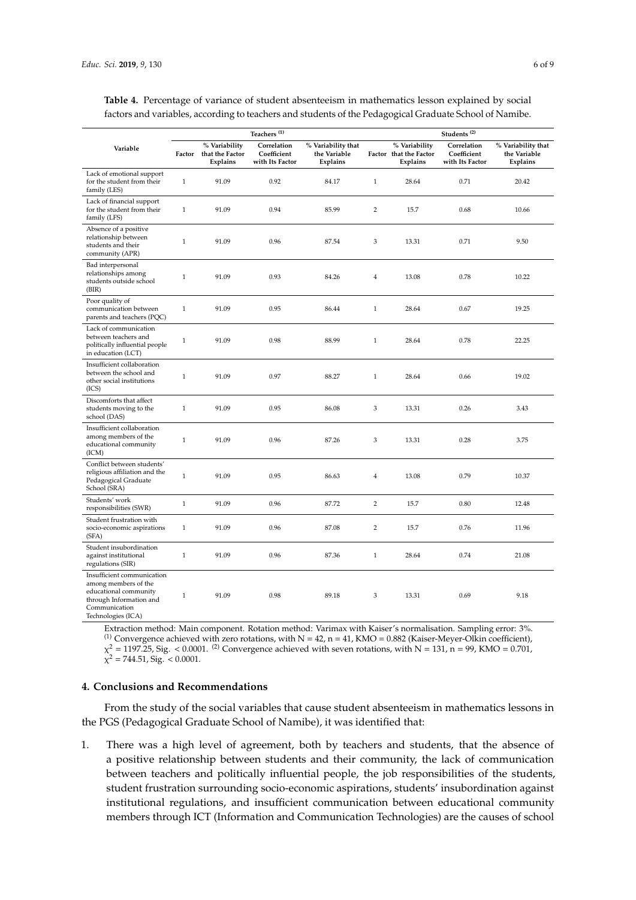|                                                                                                                                               |              |                                              | Students <sup>(2)</sup>                       |                                                |                |                                                     |                                               |                                                |  |
|-----------------------------------------------------------------------------------------------------------------------------------------------|--------------|----------------------------------------------|-----------------------------------------------|------------------------------------------------|----------------|-----------------------------------------------------|-----------------------------------------------|------------------------------------------------|--|
| Variable                                                                                                                                      | Factor       | % Variability<br>that the Factor<br>Explains | Correlation<br>Coefficient<br>with Its Factor | % Variability that<br>the Variable<br>Explains |                | % Variability<br>Factor that the Factor<br>Explains | Correlation<br>Coefficient<br>with Its Factor | % Variability that<br>the Variable<br>Explains |  |
| Lack of emotional support<br>for the student from their<br>family (LES)                                                                       | $\mathbf{1}$ | 91.09                                        | 0.92                                          | 84.17                                          | $\mathbf{1}$   | 28.64                                               | 0.71                                          | 20.42                                          |  |
| Lack of financial support<br>for the student from their<br>family (LFS)                                                                       | $\mathbf{1}$ | 91.09                                        | 0.94                                          | 85.99                                          | $\overline{2}$ | 15.7<br>0.68                                        |                                               | 10.66                                          |  |
| Absence of a positive<br>relationship between<br>students and their<br>community (APR)                                                        | $1\,$        | 91.09                                        | 0.96                                          | 87.54                                          | 3              | 0.71<br>13.31                                       |                                               | 9.50                                           |  |
| Bad interpersonal<br>relationships among<br>students outside school<br>(BIR)                                                                  | $1\,$        | 91.09                                        | 0.93                                          | 84.26                                          | $\overline{4}$ | 13.08<br>0.78                                       |                                               | 10.22                                          |  |
| Poor quality of<br>communication between<br>parents and teachers (PQC)                                                                        | $\mathbf{1}$ | 91.09                                        | 0.95                                          | 86.44                                          | $\mathbf{1}$   | 28.64                                               | 0.67                                          | 19.25                                          |  |
| Lack of communication<br>between teachers and<br>politically influential people<br>in education (LCT)                                         | $\mathbf{1}$ | 91.09                                        | 0.98                                          | 88.99                                          | $\mathbf{1}$   | 28.64                                               | 0.78                                          | 22.25                                          |  |
| Insufficient collaboration<br>between the school and<br>other social institutions<br>(ICS)                                                    | $1\,$        | 91.09                                        | 0.97                                          | 88.27                                          | $\mathbf{1}$   | 28.64                                               | 0.66                                          | 19.02                                          |  |
| Discomforts that affect<br>students moving to the<br>school (DAS)                                                                             | $1\,$        | 91.09                                        | 0.95                                          | 86.08                                          | 3              | 13.31                                               | 0.26                                          | 3.43                                           |  |
| Insufficient collaboration<br>among members of the<br>educational community<br>(ICM)                                                          | $\mathbf{1}$ | 91.09                                        | 0.96                                          | 87.26                                          | 3              | 13.31                                               | 0.28                                          | 3.75                                           |  |
| Conflict between students'<br>religious affiliation and the<br>Pedagogical Graduate<br>School (SRA)                                           | $\mathbf{1}$ | 91.09                                        | 0.95                                          | 86.63                                          | $\overline{4}$ | 13.08                                               | 0.79                                          | 10.37                                          |  |
| Students' work<br>responsibilities (SWR)                                                                                                      | $\mathbf{1}$ | 91.09                                        | 0.96                                          | 87.72                                          | $\overline{c}$ | 15.7                                                | 0.80                                          | 12.48                                          |  |
| Student frustration with<br>socio-economic aspirations<br>(SFA)                                                                               | $\mathbf{1}$ | 91.09                                        | 0.96                                          | 87.08                                          | $\overline{2}$ | 15.7                                                | 0.76                                          | 11.96                                          |  |
| Student insubordination<br>against institutional<br>regulations (SIR)                                                                         | $1\,$        | 91.09                                        | 0.96                                          | 87.36                                          | $\mathbf{1}$   | 28.64                                               | 0.74                                          | 21.08                                          |  |
| Insufficient communication<br>among members of the<br>educational community<br>through Information and<br>Communication<br>Technologies (ICA) | $\,1\,$      | 91.09                                        | 0.98                                          | 89.18                                          | 3              | 13.31                                               | 0.69                                          | 9.18                                           |  |

<span id="page-5-0"></span>**Table 4.** Percentage of variance of student absenteeism in mathematics lesson explained by social factors and variables, according to teachers and students of the Pedagogical Graduate School of Namibe.

Extraction method: Main component. Rotation method: Varimax with Kaiser's normalisation. Sampling error: 3%.

(1) Convergence achieved with zero rotations, with  $N = 42$ ,  $n = 41$ , KMO = 0.882 (Kaiser-Meyer-Olkin coefficient),  $\chi^2$  = 1197.25, Sig. < 0.0001. <sup>(2)</sup> Convergence achieved with seven rotations, with N = 131, n = 99, KMO = 0.701,

 $\chi^2 = 744.51$ , Sig.  $< 0.0001$ .

#### **4. Conclusions and Recommendations**

From the study of the social variables that cause student absenteeism in mathematics lessons in the PGS (Pedagogical Graduate School of Namibe), it was identified that:

1. There was a high level of agreement, both by teachers and students, that the absence of a positive relationship between students and their community, the lack of communication between teachers and politically influential people, the job responsibilities of the students, student frustration surrounding socio-economic aspirations, students' insubordination against institutional regulations, and insufficient communication between educational community members through ICT (Information and Communication Technologies) are the causes of school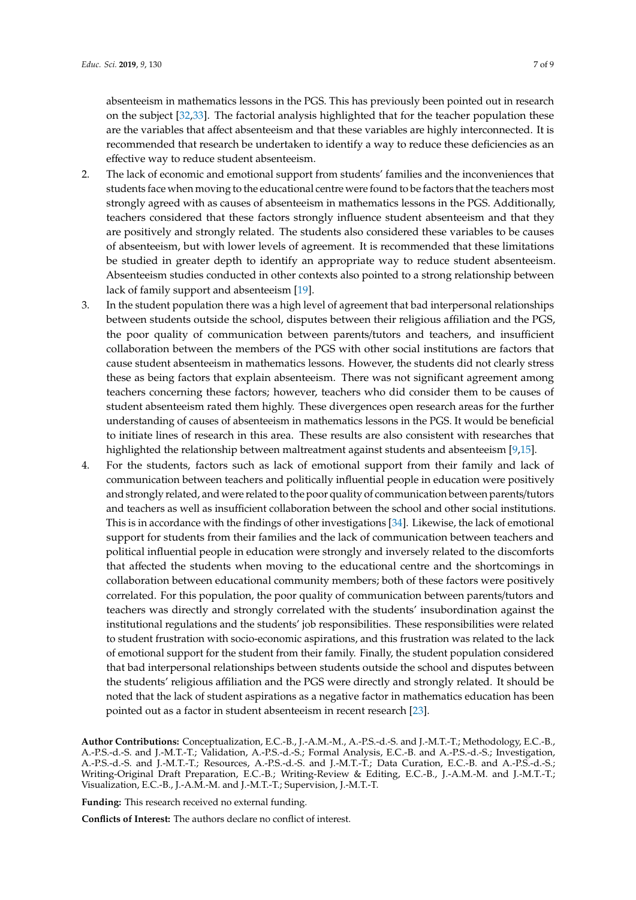absenteeism in mathematics lessons in the PGS. This has previously been pointed out in research on the subject [\[32,](#page-8-3)[33\]](#page-8-4). The factorial analysis highlighted that for the teacher population these are the variables that affect absenteeism and that these variables are highly interconnected. It is recommended that research be undertaken to identify a way to reduce these deficiencies as an effective way to reduce student absenteeism.

- 2. The lack of economic and emotional support from students' families and the inconveniences that students face when moving to the educational centre were found to be factors that the teachers most strongly agreed with as causes of absenteeism in mathematics lessons in the PGS. Additionally, teachers considered that these factors strongly influence student absenteeism and that they are positively and strongly related. The students also considered these variables to be causes of absenteeism, but with lower levels of agreement. It is recommended that these limitations be studied in greater depth to identify an appropriate way to reduce student absenteeism. Absenteeism studies conducted in other contexts also pointed to a strong relationship between lack of family support and absenteeism [\[19\]](#page-7-12).
- 3. In the student population there was a high level of agreement that bad interpersonal relationships between students outside the school, disputes between their religious affiliation and the PGS, the poor quality of communication between parents/tutors and teachers, and insufficient collaboration between the members of the PGS with other social institutions are factors that cause student absenteeism in mathematics lessons. However, the students did not clearly stress these as being factors that explain absenteeism. There was not significant agreement among teachers concerning these factors; however, teachers who did consider them to be causes of student absenteeism rated them highly. These divergences open research areas for the further understanding of causes of absenteeism in mathematics lessons in the PGS. It would be beneficial to initiate lines of research in this area. These results are also consistent with researches that highlighted the relationship between maltreatment against students and absenteeism [\[9,](#page-7-13)[15\]](#page-7-14).
- 4. For the students, factors such as lack of emotional support from their family and lack of communication between teachers and politically influential people in education were positively and strongly related, and were related to the poor quality of communication between parents/tutors and teachers as well as insufficient collaboration between the school and other social institutions. This is in accordance with the findings of other investigations [\[34\]](#page-8-5). Likewise, the lack of emotional support for students from their families and the lack of communication between teachers and political influential people in education were strongly and inversely related to the discomforts that affected the students when moving to the educational centre and the shortcomings in collaboration between educational community members; both of these factors were positively correlated. For this population, the poor quality of communication between parents/tutors and teachers was directly and strongly correlated with the students' insubordination against the institutional regulations and the students' job responsibilities. These responsibilities were related to student frustration with socio-economic aspirations, and this frustration was related to the lack of emotional support for the student from their family. Finally, the student population considered that bad interpersonal relationships between students outside the school and disputes between the students' religious affiliation and the PGS were directly and strongly related. It should be noted that the lack of student aspirations as a negative factor in mathematics education has been pointed out as a factor in student absenteeism in recent research [\[23\]](#page-7-10).

**Author Contributions:** Conceptualization, E.C.-B., J.-A.M.-M., A.-P.S.-d.-S. and J.-M.T.-T.; Methodology, E.C.-B., A.-P.S.-d.-S. and J.-M.T.-T.; Validation, A.-P.S.-d.-S.; Formal Analysis, E.C.-B. and A.-P.S.-d.-S.; Investigation, A.-P.S.-d.-S. and J.-M.T.-T.; Resources, A.-P.S.-d.-S. and J.-M.T.-T.; Data Curation, E.C.-B. and A.-P.S.-d.-S.; Writing-Original Draft Preparation, E.C.-B.; Writing-Review & Editing, E.C.-B., J.-A.M.-M. and J.-M.T.-T.; Visualization, E.C.-B., J.-A.M.-M. and J.-M.T.-T.; Supervision, J.-M.T.-T.

**Funding:** This research received no external funding.

**Conflicts of Interest:** The authors declare no conflict of interest.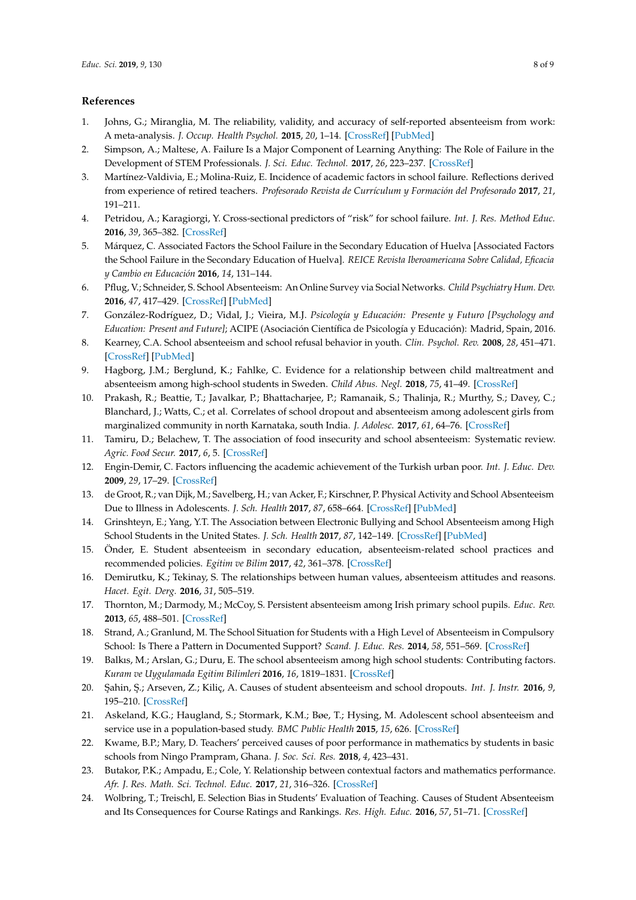## **References**

- <span id="page-7-0"></span>1. Johns, G.; Miranglia, M. The reliability, validity, and accuracy of self-reported absenteeism from work: A meta-analysis. *J. Occup. Health Psychol.* **2015**, *20*, 1–14. [\[CrossRef\]](http://dx.doi.org/10.1037/a0037754) [\[PubMed\]](http://www.ncbi.nlm.nih.gov/pubmed/25181281)
- 2. Simpson, A.; Maltese, A. Failure Is a Major Component of Learning Anything: The Role of Failure in the Development of STEM Professionals. *J. Sci. Educ. Technol.* **2017**, *26*, 223–237. [\[CrossRef\]](http://dx.doi.org/10.1007/s10956-016-9674-9)
- 3. Martínez-Valdivia, E.; Molina-Ruiz, E. Incidence of academic factors in school failure. Reflections derived from experience of retired teachers. *Profesorado Revista de Currículum y Formación del Profesorado* **2017**, *21*, 191–211.
- 4. Petridou, A.; Karagiorgi, Y. Cross-sectional predictors of "risk" for school failure. *Int. J. Res. Method Educ.* **2016**, *39*, 365–382. [\[CrossRef\]](http://dx.doi.org/10.1080/1743727X.2016.1189896)
- 5. Márquez, C. Associated Factors the School Failure in the Secondary Education of Huelva [Associated Factors the School Failure in the Secondary Education of Huelva]. *REICE Revista Iberoamericana Sobre Calidad, Eficacia y Cambio en Educación* **2016**, *14*, 131–144.
- <span id="page-7-1"></span>6. Pflug, V.; Schneider, S. School Absenteeism: An Online Survey via Social Networks. *Child Psychiatry Hum. Dev.* **2016**, *47*, 417–429. [\[CrossRef\]](http://dx.doi.org/10.1007/s10578-015-0576-5) [\[PubMed\]](http://www.ncbi.nlm.nih.gov/pubmed/26374328)
- <span id="page-7-2"></span>7. González-Rodríguez, D.; Vidal, J.; Vieira, M.J. *Psicología y Educación: Presente y Futuro [Psychology and Education: Present and Future]*; ACIPE (Asociación Científica de Psicología y Educación): Madrid, Spain, 2016.
- <span id="page-7-3"></span>8. Kearney, C.A. School absenteeism and school refusal behavior in youth. *Clin. Psychol. Rev.* **2008**, *28*, 451–471. [\[CrossRef\]](http://dx.doi.org/10.1016/j.cpr.2007.07.012) [\[PubMed\]](http://www.ncbi.nlm.nih.gov/pubmed/17720288)
- <span id="page-7-13"></span>9. Hagborg, J.M.; Berglund, K.; Fahlke, C. Evidence for a relationship between child maltreatment and absenteeism among high-school students in Sweden. *Child Abus. Negl.* **2018**, *75*, 41–49. [\[CrossRef\]](http://dx.doi.org/10.1016/j.chiabu.2017.08.027)
- 10. Prakash, R.; Beattie, T.; Javalkar, P.; Bhattacharjee, P.; Ramanaik, S.; Thalinja, R.; Murthy, S.; Davey, C.; Blanchard, J.; Watts, C.; et al. Correlates of school dropout and absenteeism among adolescent girls from marginalized community in north Karnataka, south India. *J. Adolesc.* **2017**, *61*, 64–76. [\[CrossRef\]](http://dx.doi.org/10.1016/j.adolescence.2017.09.007)
- <span id="page-7-4"></span>11. Tamiru, D.; Belachew, T. The association of food insecurity and school absenteeism: Systematic review. *Agric. Food Secur.* **2017**, *6*, 5. [\[CrossRef\]](http://dx.doi.org/10.1186/s40066-016-0083-3)
- <span id="page-7-5"></span>12. Engin-Demir, C. Factors influencing the academic achievement of the Turkish urban poor. *Int. J. Educ. Dev.* **2009**, *29*, 17–29. [\[CrossRef\]](http://dx.doi.org/10.1016/j.ijedudev.2008.03.003)
- 13. de Groot, R.; van Dijk, M.; Savelberg, H.; van Acker, F.; Kirschner, P. Physical Activity and School Absenteeism Due to Illness in Adolescents. *J. Sch. Health* **2017**, *87*, 658–664. [\[CrossRef\]](http://dx.doi.org/10.1111/josh.12542) [\[PubMed\]](http://www.ncbi.nlm.nih.gov/pubmed/28766315)
- 14. Grinshteyn, E.; Yang, Y.T. The Association between Electronic Bullying and School Absenteeism among High School Students in the United States. *J. Sch. Health* **2017**, *87*, 142–149. [\[CrossRef\]](http://dx.doi.org/10.1111/josh.12476) [\[PubMed\]](http://www.ncbi.nlm.nih.gov/pubmed/28076925)
- <span id="page-7-14"></span>15. Önder, E. Student absenteeism in secondary education, absenteeism-related school practices and recommended policies. *Egitim ve Bilim* **2017**, *42*, 361–378. [\[CrossRef\]](http://dx.doi.org/10.15390/EB.2017.6447)
- <span id="page-7-6"></span>16. Demirutku, K.; Tekinay, S. The relationships between human values, absenteeism attitudes and reasons. *Hacet. Egit. Derg.* **2016**, *31*, 505–519.
- <span id="page-7-7"></span>17. Thornton, M.; Darmody, M.; McCoy, S. Persistent absenteeism among Irish primary school pupils. *Educ. Rev.* **2013**, *65*, 488–501. [\[CrossRef\]](http://dx.doi.org/10.1080/00131911.2013.768599)
- 18. Strand, A.; Granlund, M. The School Situation for Students with a High Level of Absenteeism in Compulsory School: Is There a Pattern in Documented Support? *Scand. J. Educ. Res.* **2014**, *58*, 551–569. [\[CrossRef\]](http://dx.doi.org/10.1080/00313831.2013.773561)
- <span id="page-7-12"></span>19. Balkıs, M.; Arslan, G.; Duru, E. The school absenteeism among high school students: Contributing factors. *Kuram ve Uygulamada Egitim Bilimleri* **2016**, *16*, 1819–1831. [\[CrossRef\]](http://dx.doi.org/10.12738/estp.2016.6.0125)
- 20. Şahin, Ş.; Arseven, Z.; Kiliç, A. Causes of student absenteeism and school dropouts. *Int. J. Instr.* 2016, 9, 195–210. [\[CrossRef\]](http://dx.doi.org/10.12973/iji.2016.9115a)
- <span id="page-7-8"></span>21. Askeland, K.G.; Haugland, S.; Stormark, K.M.; Bøe, T.; Hysing, M. Adolescent school absenteeism and service use in a population-based study. *BMC Public Health* **2015**, *15*, 626. [\[CrossRef\]](http://dx.doi.org/10.1186/s12889-015-1978-9)
- <span id="page-7-9"></span>22. Kwame, B.P.; Mary, D. Teachers' perceived causes of poor performance in mathematics by students in basic schools from Ningo Prampram, Ghana. *J. Soc. Sci. Res.* **2018**, *4*, 423–431.
- <span id="page-7-10"></span>23. Butakor, P.K.; Ampadu, E.; Cole, Y. Relationship between contextual factors and mathematics performance. *Afr. J. Res. Math. Sci. Technol. Educ.* **2017**, *21*, 316–326. [\[CrossRef\]](http://dx.doi.org/10.1080/18117295.2017.1379281)
- <span id="page-7-11"></span>24. Wolbring, T.; Treischl, E. Selection Bias in Students' Evaluation of Teaching. Causes of Student Absenteeism and Its Consequences for Course Ratings and Rankings. *Res. High. Educ.* **2016**, *57*, 51–71. [\[CrossRef\]](http://dx.doi.org/10.1007/s11162-015-9378-7)